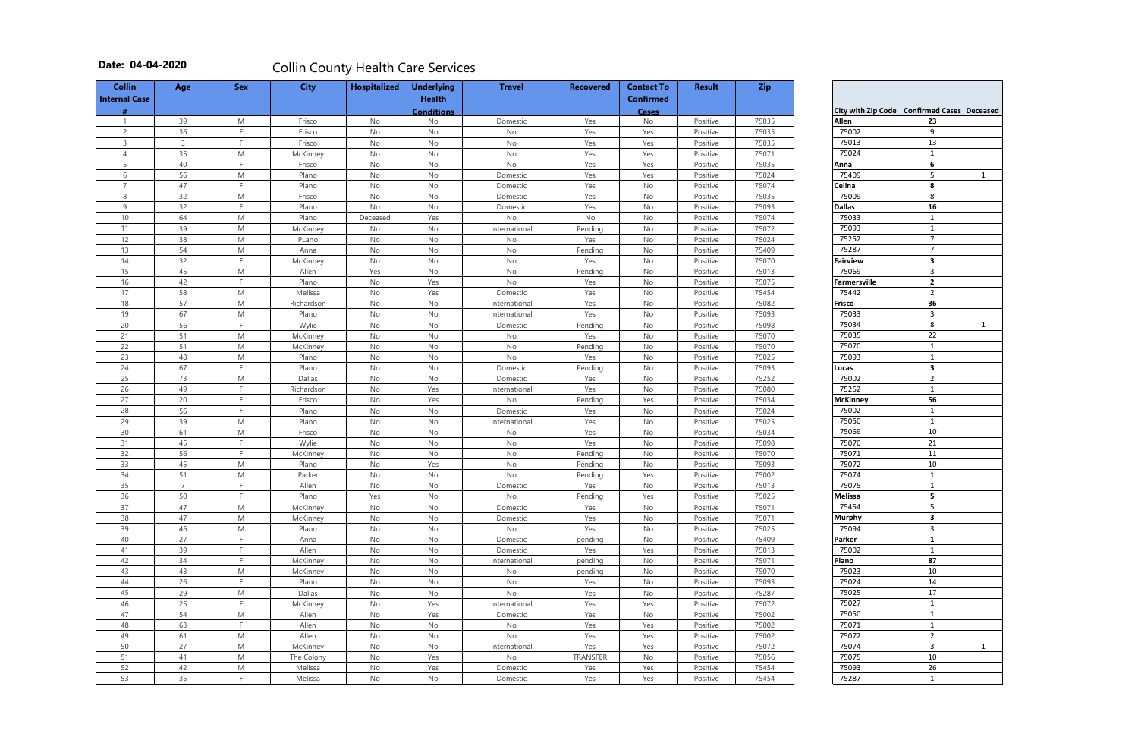|                             | <b>Confirmed Cases</b> | <b>Deceased</b> |
|-----------------------------|------------------------|-----------------|
| City with Zip Code<br>Allen | 23                     |                 |
| 75002                       | 9                      |                 |
| 75013                       | 13                     |                 |
|                             |                        |                 |
| 75024                       | 1                      |                 |
| Anna                        | 6<br>5                 |                 |
| 75409                       |                        | 1               |
| Celina<br>75009             | 8                      |                 |
|                             | 8                      |                 |
| Dallas                      | 16                     |                 |
| 75033                       | 1                      |                 |
| 75093                       | 1                      |                 |
| 75252                       | 7                      |                 |
| 75287                       | 7                      |                 |
| Fairview                    | З                      |                 |
| 75069                       | з                      |                 |
| Farmersville                | 2                      |                 |
| 75442                       | $\overline{2}$         |                 |
| Frisco                      | 36                     |                 |
| 75033                       | 3                      |                 |
| 75034                       | 8                      | 1               |
| 75035                       | 22                     |                 |
| 75070                       | 1                      |                 |
| 75093                       | 1                      |                 |
| Lucas                       | 3                      |                 |
| 75002                       | 2                      |                 |
| 75252                       | 1                      |                 |
| McKinney                    | 56                     |                 |
| 75002                       | 1                      |                 |
| 75050                       | 1                      |                 |
| 75069                       | 10                     |                 |
| 75070                       | 21                     |                 |
| 75071                       | 11                     |                 |
| 75072                       | 10                     |                 |
| 75074                       | 1                      |                 |
| 75075                       | 1                      |                 |
| Melissa                     | 5                      |                 |
| 75454                       | 5                      |                 |
| Murphy                      | 3                      |                 |
| 75094                       | 3                      |                 |
|                             | 1                      |                 |
| Parker<br>75002             | $\mathbf{1}$           |                 |
| Plano                       | 87                     |                 |
|                             |                        |                 |
| 75023                       | 10                     |                 |
| 75024                       | 14                     |                 |
| 75025                       | 17                     |                 |
| 75027                       | 1                      |                 |
| 75050                       | $\mathbf 1$            |                 |
| 75071                       | $\overline{1}$         |                 |
| 75072                       | 2                      |                 |
| 75074                       | 3                      | 1               |
| 75075                       | 10                     |                 |
| 75093                       | 26                     |                 |
| 75287                       | 1                      |                 |

| <b>Collin</b>        | Age            | <b>Sex</b> | <b>City</b> | <b>Hospitalized</b> | <b>Underlying</b> | <b>Travel</b> | <b>Recovered</b> | <b>Contact To</b> | <b>Result</b> | <b>Zip</b> |                                              |                         |  |
|----------------------|----------------|------------|-------------|---------------------|-------------------|---------------|------------------|-------------------|---------------|------------|----------------------------------------------|-------------------------|--|
| <b>Internal Case</b> |                |            |             |                     | <b>Health</b>     |               |                  | <b>Confirmed</b>  |               |            |                                              |                         |  |
|                      |                |            |             |                     | <b>Conditions</b> |               |                  | <b>Cases</b>      |               |            | City with Zip Code   Confirmed Cases   Decea |                         |  |
| -1                   | 39             | M          | Frisco      | No                  | No                | Domestic      | Yes              | No                | Positive      | 75035      | Allen                                        | 23                      |  |
| $\overline{2}$       | 36             | E          | Frisco      | No                  | No                | No            | Yes              | Yes               | Positive      | 75035      | 75002                                        | 9                       |  |
| 3                    | 3              | F          | Frisco      | No                  | No                | No            | Yes              | Yes               | Positive      | 75035      | 75013                                        | 13                      |  |
| $\overline{4}$       | 35             | M          | McKinney    | No                  | No                | No            | Yes              | Yes               | Positive      | 75071      | 75024                                        | $\mathbf{1}$            |  |
| 5                    | 40             | F          | Frisco      | No                  | No                | No            | Yes              | Yes               | Positive      | 75035      | Anna                                         | $\bf 6$                 |  |
| 6                    | 56             | M          | Plano       | No                  | No                | Domestic      | Yes              | Yes               | Positive      | 75024      | 75409                                        | 5                       |  |
| $\overline{7}$       | 47             | F.         | Plano       | No                  | No                | Domestic      | Yes              | No                | Positive      | 75074      | Celina                                       | 8                       |  |
| 8                    | 32             | M          | Frisco      | No                  | No                | Domestic      | Yes              | No                | Positive      | 75035      | 75009                                        | 8                       |  |
| 9                    | 32             | F.         | Plano       | No                  | No                | Domestic      | Yes              | No                | Positive      | 75093      | <b>Dallas</b>                                | 16                      |  |
| 10                   | 64             | M          | Plano       | Deceased            | Yes               | No            | No               | No                | Positive      | 75074      | 75033                                        | 1                       |  |
| 11                   | 39             | M          | McKinney    | No                  | No                | International | Pending          | No                | Positive      | 75072      | 75093                                        | 1                       |  |
| 12                   | 38             | M          | PLano       | No                  | No                | No            | Yes              | No                | Positive      | 75024      | 75252                                        | $\overline{7}$          |  |
| 13                   | 54             | M          | Anna        | No                  | No                | No            | Pending          | No                | Positive      | 75409      | 75287                                        | $\overline{7}$          |  |
| 14                   | 32             | F.         | McKinney    | No                  | No                | No            | Yes              | No                | Positive      | 75070      | Fairview                                     | 3                       |  |
| 15                   | 45             | M          | Allen       | Yes                 | No                | No            | Pending          | No                | Positive      | 75013      | 75069                                        | 3                       |  |
| 16                   | 42             | F.         | Plano       | No                  | Yes               | No            | Yes              | No                | Positive      | 75075      | <b>Farmersville</b>                          | $\overline{2}$          |  |
| 17                   | 58             | M          | Melissa     | No                  | Yes               | Domestic      | Yes              | No                | Positive      | 75454      | 75442                                        | $\overline{2}$          |  |
| 18                   | 57             | M          | Richardson  | No                  | No                | International | Yes              | No                | Positive      | 75082      | Frisco                                       | 36                      |  |
| 19                   | 67             | M          | Plano       | No                  | No                | International | Yes              | No                | Positive      | 75093      | 75033                                        | 3                       |  |
| 20                   | 56             | F          | Wylie       | No                  | No                | Domestic      | Pending          | No                | Positive      | 75098      | 75034                                        | 8                       |  |
| 21                   | 51             | M          | McKinney    | No                  | No                | No            | Yes              | No                | Positive      | 75070      | 75035                                        | 22                      |  |
| 22                   | 51             | M          | McKinney    | No                  | No                | No            | Pending          | No                | Positive      | 75070      | 75070                                        | 1                       |  |
| 23                   | 48             | M          | Plano       | No                  | No                | No            | Yes              | No                | Positive      | 75025      | 75093                                        | 1                       |  |
| 24                   | 67             | F          | Plano       | No                  | No                | Domestic      | Pending          | No                | Positive      | 75093      | Lucas                                        | $\overline{\mathbf{3}}$ |  |
| 25                   | 73             | M          | Dallas      | No                  | No                | Domestic      | Yes              | No                | Positive      | 75252      | 75002                                        | $\overline{2}$          |  |
| 26                   | 49             | F.         | Richardson  | No                  | Yes               | International | Yes              | No                | Positive      | 75080      | 75252                                        | $\mathbf{1}$            |  |
| 27                   | 20             | F          | Frisco      | No                  | Yes               | No            | Pending          | Yes               | Positive      | 75034      | <b>McKinney</b>                              | 56                      |  |
| 28                   | 56             | F.         | Plano       | No                  | No                | Domestic      | Yes              | No                | Positive      | 75024      | 75002                                        | $\mathbf{1}$            |  |
| 29                   | 39             | M          | Plano       | No                  | No                | International | Yes              | No                | Positive      | 75025      | 75050                                        | 1                       |  |
| 30                   | 61             | M          | Frisco      | No                  | No                | No            | Yes              | No                | Positive      | 75034      | 75069                                        | 10                      |  |
| 31                   | 45             | F.         | Wylie       | No                  | No                | $\mathsf{No}$ | Yes              | No                | Positive      | 75098      | 75070                                        | 21                      |  |
| 32                   | 56             | F.         | McKinney    | No                  | No                | No            | Pending          | No                | Positive      | 75070      | 75071                                        | 11                      |  |
| 33                   | 45             | M          | Plano       | No                  | Yes               | No            | Pending          | No                | Positive      | 75093      | 75072                                        | 10                      |  |
| 34                   | 51             | M          | Parker      | No                  | No                | <b>No</b>     | Pending          | Yes               | Positive      | 75002      | 75074                                        | $\mathbf{1}$            |  |
| 35                   | $\overline{7}$ | E          | Allen       | No                  | No                | Domestic      | Yes              | No                | Positive      | 75013      | 75075                                        | $\mathbf{1}$            |  |
| 36                   | 50             | F          | Plano       | Yes                 | No                | No            | Pending          | Yes               | Positive      | 75025      | Melissa                                      | 5                       |  |
| 37                   | 47             | M          | McKinney    | No                  | No                | Domestic      | Yes              | No                | Positive      | 75071      | 75454                                        | 5                       |  |
| 38                   | 47             | M          | McKinney    | No                  | No                | Domestic      | Yes              | No                | Positive      | 75071      | <b>Murphy</b>                                | $\mathbf{3}$            |  |
| 39                   | 46             | M          | Plano       | No                  | No                | No            | Yes              | No                | Positive      | 75025      | 75094                                        | $\mathbf{3}$            |  |
| 40                   | 27             | F.         | Anna        | No                  | No                | Domestic      | pending          | No                | Positive      | 75409      | Parker                                       | $\mathbf{1}$            |  |
| 41                   | 39             | F.         | Allen       | No                  | No                | Domestic      | Yes              | Yes               | Positive      | 75013      | 75002                                        | $\mathbf{1}$            |  |
| 42                   | 34             | F          | McKinney    | No                  | No                | International | pending          | No                | Positive      | 75071      | Plano                                        | 87                      |  |
| 43                   | 43             | M          | McKinney    | No                  | No                | No            | pending          | No                | Positive      | 75070      | 75023                                        | 10                      |  |
| 44                   | 26             | F          | Plano       | No                  | No                | No            | Yes              | No                | Positive      | 75093      | 75024                                        | 14                      |  |
| 45                   | 29             | M          | Dallas      | No                  | No                | No            | Yes              | No                | Positive      | 75287      | 75025                                        | 17                      |  |
| 46                   | 25             | F          | McKinney    | No                  | Yes               | International | Yes              | Yes               | Positive      | 75072      | 75027                                        | $\mathbf{1}$            |  |
| 47                   | 54             | M          | Allen       | No                  | Yes               | Domestic      | Yes              | No                | Positive      | 75002      | 75050                                        | $\mathbf{1}$            |  |
| 48                   | 63             | F.         | Allen       | No                  | No                | No            | Yes              | Yes               | Positive      | 75002      | 75071                                        | 1                       |  |
| 49                   | 61             | M          | Allen       | No                  | No                | No            | Yes              | Yes               | Positive      | 75002      | 75072                                        | $\overline{2}$          |  |
| 50                   | 27             | M          | McKinney    | No                  | No                | International | Yes              | Yes               | Positive      | 75072      | 75074                                        | 3                       |  |
| 51                   | 41             | M          | The Colony  | No                  | Yes               | No            | TRANSFER         | No                | Positive      | 75056      | 75075                                        | 10                      |  |
| 52                   | 42             | M          | Melissa     | No                  | Yes               | Domestic      | Yes              | Yes               | Positive      | 75454      | 75093                                        | 26                      |  |
|                      | 35             | F          |             |                     |                   |               |                  |                   |               |            | 75287                                        | $\mathbf{1}$            |  |
| 53                   |                |            | Melissa     | No                  | No                | Domestic      | Yes              | Yes               | Positive      | 75454      |                                              |                         |  |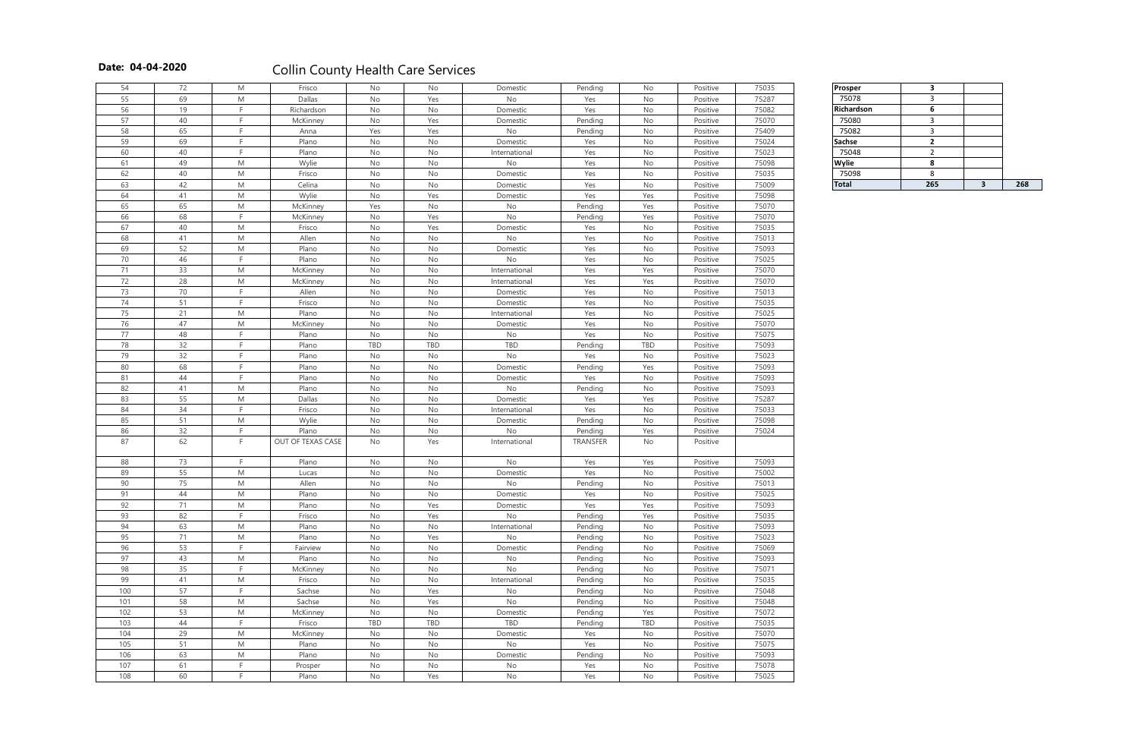| 54  | 72 | M                                                                                                          | Frisco            | No  | No                           | Domestic      | Pending  | No                           | Positive | 75035 | <b>Prosper</b> | $\overline{\mathbf{3}}$ |                |     |
|-----|----|------------------------------------------------------------------------------------------------------------|-------------------|-----|------------------------------|---------------|----------|------------------------------|----------|-------|----------------|-------------------------|----------------|-----|
| 55  | 69 | M                                                                                                          | Dallas            | No  | Yes                          | No            | Yes      | No                           | Positive | 75287 | 75078          | $\mathbf{3}$            |                |     |
| 56  | 19 | F.                                                                                                         |                   | No  | No                           |               | Yes      | No                           | Positive | 75082 | Richardson     | 6                       |                |     |
| 57  | 40 | F                                                                                                          | Richardson        | No  | Yes                          | Domestic      |          |                              |          | 75070 |                | $\mathbf{3}$            |                |     |
|     |    | F.                                                                                                         | McKinney          |     |                              | Domestic      | Pending  | No                           | Positive |       | 75080          |                         |                |     |
| 58  | 65 |                                                                                                            | Anna              | Yes | Yes                          | No            | Pending  | No                           | Positive | 75409 | 75082          | $\overline{3}$          |                |     |
| 59  | 69 | F.                                                                                                         | Plano             | No  | No                           | Domestic      | Yes      | No                           | Positive | 75024 | Sachse         | $\overline{2}$          |                |     |
| 60  | 40 | E                                                                                                          | Plano             | No  | $\operatorname{\mathsf{No}}$ | International | Yes      | No                           | Positive | 75023 | 75048          | $\overline{2}$          |                |     |
| 61  | 49 | M                                                                                                          | Wylie             | No  | No                           | No            | Yes      | No                           | Positive | 75098 | Wylie          | 8                       |                |     |
| 62  | 40 | ${\sf M}$                                                                                                  | Frisco            | No  | $\operatorname{\mathsf{No}}$ | Domestic      | Yes      | No                           | Positive | 75035 | 75098          | 8                       |                |     |
| 63  | 42 | M                                                                                                          | Celina            | No  | No                           | Domestic      | Yes      | No                           | Positive | 75009 | <b>Total</b>   | 265                     | 3 <sup>1</sup> | 268 |
| 64  | 41 | M                                                                                                          | Wylie             | No  | Yes                          | Domestic      | Yes      | Yes                          | Positive | 75098 |                |                         |                |     |
| 65  | 65 | M                                                                                                          | McKinney          | Yes | No                           | No            | Pending  | Yes                          | Positive | 75070 |                |                         |                |     |
| 66  | 68 | F.                                                                                                         | McKinney          | No  | Yes                          | No            | Pending  | Yes                          | Positive | 75070 |                |                         |                |     |
| 67  | 40 | M                                                                                                          | Frisco            | No  | Yes                          | Domestic      | Yes      | No                           | Positive | 75035 |                |                         |                |     |
| 68  | 41 | M                                                                                                          | Allen             | No  | No                           | No            | Yes      | No                           | Positive | 75013 |                |                         |                |     |
| 69  | 52 | M                                                                                                          | Plano             | No  | No                           | Domestic      | Yes      | No                           | Positive | 75093 |                |                         |                |     |
| 70  | 46 | F                                                                                                          | Plano             | No  | No                           | No            | Yes      | No                           | Positive | 75025 |                |                         |                |     |
| 71  | 33 | M                                                                                                          | McKinney          | No  | No                           | International | Yes      | Yes                          | Positive | 75070 |                |                         |                |     |
| 72  | 28 | M                                                                                                          | McKinney          | No  | No                           | International | Yes      | Yes                          | Positive | 75070 |                |                         |                |     |
| 73  | 70 | F.                                                                                                         | Allen             | No  | No                           | Domestic      | Yes      | No                           | Positive | 75013 |                |                         |                |     |
| 74  | 51 | F.                                                                                                         | Frisco            | No  | No                           | Domestic      | Yes      | No                           | Positive | 75035 |                |                         |                |     |
| 75  | 21 | M                                                                                                          | Plano             |     | No                           |               | Yes      |                              | Positive | 75025 |                |                         |                |     |
|     |    |                                                                                                            |                   | No  |                              | International |          | No                           |          |       |                |                         |                |     |
| 76  | 47 | M                                                                                                          | McKinney          | No  | No                           | Domestic      | Yes      | No                           | Positive | 75070 |                |                         |                |     |
| 77  | 48 | F.                                                                                                         | Plano             | No  | No                           | No            | Yes      | No                           | Positive | 75075 |                |                         |                |     |
| 78  | 32 | F.                                                                                                         | Plano             | TBD | TBD                          | TBD           | Pending  | TBD                          | Positive | 75093 |                |                         |                |     |
| 79  | 32 | F.                                                                                                         | Plano             | No  | No                           | No            | Yes      | No                           | Positive | 75023 |                |                         |                |     |
| 80  | 68 | F.                                                                                                         | Plano             | No  | No                           | Domestic      | Pending  | Yes                          | Positive | 75093 |                |                         |                |     |
| 81  | 44 | F                                                                                                          | Plano             | No  | No                           | Domestic      | Yes      | No                           | Positive | 75093 |                |                         |                |     |
| 82  | 41 | M                                                                                                          | Plano             | No  | No                           | No            | Pending  | No                           | Positive | 75093 |                |                         |                |     |
| 83  | 55 | ${\sf M}$                                                                                                  | Dallas            | No  | No                           | Domestic      | Yes      | Yes                          | Positive | 75287 |                |                         |                |     |
| 84  | 34 | F.                                                                                                         | Frisco            | No  | No                           | International | Yes      | No                           | Positive | 75033 |                |                         |                |     |
| 85  | 51 | M                                                                                                          | Wylie             | No  | No                           | Domestic      | Pending  | No                           | Positive | 75098 |                |                         |                |     |
| 86  | 32 | F.                                                                                                         | Plano             | No  | No                           | No            | Pending  | Yes                          | Positive | 75024 |                |                         |                |     |
| 87  | 62 | F                                                                                                          | OUT OF TEXAS CASE | No  | Yes                          | International | TRANSFER | No                           | Positive |       |                |                         |                |     |
|     |    |                                                                                                            |                   |     |                              |               |          |                              |          |       |                |                         |                |     |
| 88  | 73 | F.                                                                                                         | Plano             | No  | No                           | No            | Yes      | Yes                          | Positive | 75093 |                |                         |                |     |
| 89  | 55 | M                                                                                                          | Lucas             | No  | No                           | Domestic      | Yes      | No                           | Positive | 75002 |                |                         |                |     |
| 90  | 75 | M                                                                                                          | Allen             | No  | No                           | No            | Pending  | No                           | Positive | 75013 |                |                         |                |     |
| 91  | 44 | ${\sf M}$                                                                                                  | Plano             | No  | No                           | Domestic      | Yes      | No                           | Positive | 75025 |                |                         |                |     |
| 92  | 71 | M                                                                                                          | Plano             | No  | Yes                          | Domestic      | Yes      | Yes                          | Positive | 75093 |                |                         |                |     |
| 93  | 82 | F.                                                                                                         | Frisco            | No  | Yes                          | No            | Pending  | Yes                          | Positive | 75035 |                |                         |                |     |
| 94  | 63 | ${\sf M}$                                                                                                  | Plano             | No  | No                           | International | Pending  | No                           | Positive | 75093 |                |                         |                |     |
| 95  | 71 | $\mathsf{M}% _{T}=\mathsf{M}_{T}\!\left( a,b\right) ,\ \mathsf{M}_{T}=\mathsf{M}_{T}\!\left( a,b\right) ,$ | Plano             | No  | Yes                          | No            | Pending  | No                           | Positive | 75023 |                |                         |                |     |
| 96  | 53 | E                                                                                                          | Fairview          | No  | No                           | Domestic      | Pending  | No                           | Positive | 75069 |                |                         |                |     |
| 97  | 43 | M                                                                                                          | Plano             | No  | No                           | No            | Pending  | No                           | Positive | 75093 |                |                         |                |     |
| 98  | 35 | F.                                                                                                         | McKinney          | No  | No                           | No            | Pending  | No                           | Positive | 75071 |                |                         |                |     |
| 99  | 41 | M                                                                                                          |                   | No  | No                           |               |          | No                           |          | 75035 |                |                         |                |     |
|     |    | F.                                                                                                         | Frisco            |     |                              | International | Pending  |                              | Positive |       |                |                         |                |     |
| 100 | 57 |                                                                                                            | Sachse            | No  | Yes                          | No            | Pending  | No                           | Positive | 75048 |                |                         |                |     |
| 101 | 58 | $\mathsf{M}% _{T}=\mathsf{M}_{T}\!\left( a,b\right) ,\ \mathsf{M}_{T}=\mathsf{M}_{T}\!\left( a,b\right) ,$ | Sachse            | No  | Yes                          | No            | Pending  | $\operatorname{\mathsf{No}}$ | Positive | 75048 |                |                         |                |     |
| 102 | 53 | ${\sf M}$                                                                                                  | McKinney          | No  | No                           | Domestic      | Pending  | Yes                          | Positive | 75072 |                |                         |                |     |
| 103 | 44 | F.                                                                                                         | Frisco            | TBD | TBD                          | TBD           | Pending  | TBD                          | Positive | 75035 |                |                         |                |     |
| 104 | 29 | ${\sf M}$                                                                                                  | McKinney          | No  | No                           | Domestic      | Yes      | No                           | Positive | 75070 |                |                         |                |     |
| 105 | 51 | ${\sf M}$                                                                                                  | Plano             | No  | No                           | No            | Yes      | No                           | Positive | 75075 |                |                         |                |     |
| 106 | 63 | M                                                                                                          | Plano             | No  | No                           | Domestic      | Pending  | No                           | Positive | 75093 |                |                         |                |     |
| 107 | 61 | F.                                                                                                         | Prosper           | No  | No                           | No            | Yes      | No                           | Positive | 75078 |                |                         |                |     |
| 108 | 60 | F.                                                                                                         | Plano             | No  | Yes                          | No            | Yes      | No                           | Positive | 75025 |                |                         |                |     |

| rosper            | 3   |     |
|-------------------|-----|-----|
| 75078             | 3   |     |
| <b>Richardson</b> | 6   |     |
| 75080             | 3   |     |
| 75082             | 3   |     |
| iachse            | 2   |     |
| 75048             | 2   |     |
| <b>Nylie</b>      | 8   |     |
| 75098             | 8   |     |
| <b>Total</b>      | 265 | 268 |
|                   |     |     |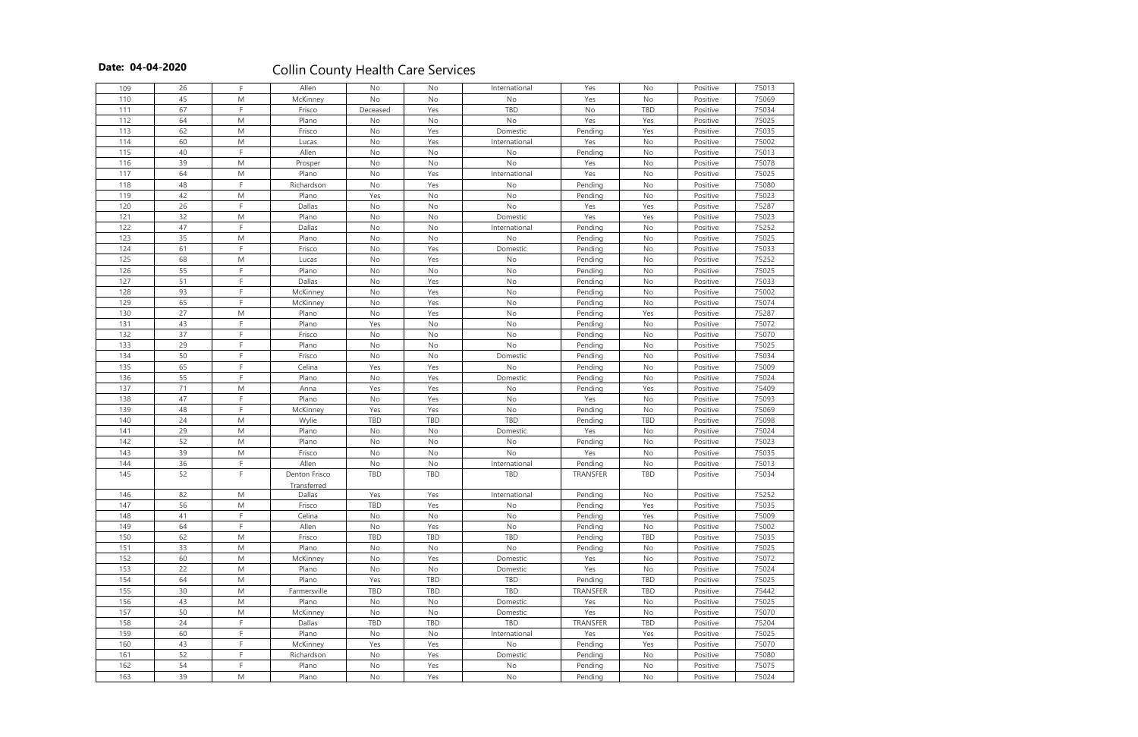| 109 | 26     | F                                                                                                          | Allen         | No            | No            | International | Yes             | No            | Positive | 75013 |
|-----|--------|------------------------------------------------------------------------------------------------------------|---------------|---------------|---------------|---------------|-----------------|---------------|----------|-------|
| 110 | 45     | M                                                                                                          | McKinney      | No            | No            | No            | Yes             | No            | Positive | 75069 |
| 111 | 67     | E                                                                                                          | Frisco        | Deceased      | Yes           | TBD           | No              | TBD           | Positive | 75034 |
| 112 | 64     | M                                                                                                          | Plano         | No            | No            | No            | Yes             | Yes           | Positive | 75025 |
| 113 | 62     | ${\sf M}$                                                                                                  | Frisco        | No            | Yes           | Domestic      | Pending         | Yes           | Positive | 75035 |
| 114 | 60     | ${\sf M}$                                                                                                  | Lucas         | No            | Yes           | International | Yes             | No            | Positive | 75002 |
| 115 | 40     | F                                                                                                          | Allen         | No            | No            | No            | Pending         | No            | Positive | 75013 |
| 116 | 39     | ${\sf M}$                                                                                                  | Prosper       | No            | No            | No            | Yes             | No            | Positive | 75078 |
| 117 | 64     | M                                                                                                          | Plano         | No            | Yes           | International | Yes             | No            | Positive | 75025 |
| 118 | 48     | F                                                                                                          | Richardson    | No            | Yes           | No            | Pending         | No            | Positive | 75080 |
| 119 | 42     | M                                                                                                          | Plano         | Yes           | No            | No            | Pending         | No            | Positive | 75023 |
| 120 | 26     | F                                                                                                          | Dallas        | No            | No            | No            | Yes             | Yes           | Positive | 75287 |
| 121 | 32     | ${\sf M}$                                                                                                  | Plano         | No            | No            | Domestic      | Yes             | Yes           | Positive | 75023 |
| 122 | 47     | F                                                                                                          | Dallas        | No            | No            | International | Pending         | No            | Positive | 75252 |
| 123 | 35     | ${\sf M}$                                                                                                  | Plano         | No            | No            | $\mathsf{No}$ | Pending         | No            | Positive | 75025 |
| 124 | 61     | F                                                                                                          | Frisco        | No            | Yes           | Domestic      |                 | No            |          | 75033 |
| 125 | 68     |                                                                                                            |               |               |               |               | Pending         |               | Positive | 75252 |
| 126 | 55     | M<br>E                                                                                                     | Lucas         | No            | Yes           | No            | Pending         | No            | Positive | 75025 |
|     |        | F                                                                                                          | Plano         | No            | No            | No            | Pending         | No            | Positive |       |
| 127 | 51     |                                                                                                            | Dallas        | No            | Yes           | No            | Pending         | No            | Positive | 75033 |
| 128 | 93     | E                                                                                                          | McKinney      | No            | Yes           | No            | Pending         | No            | Positive | 75002 |
| 129 | 65     | F                                                                                                          | McKinney      | $\mathsf{No}$ | Yes           | $\mathsf{No}$ | Pending         | No            | Positive | 75074 |
| 130 | 27     | M                                                                                                          | Plano         | No            | Yes           | No            | Pending         | Yes           | Positive | 75287 |
| 131 | 43     | F                                                                                                          | Plano         | Yes           | No            | No            | Pending         | No            | Positive | 75072 |
| 132 | 37     | E                                                                                                          | Frisco        | No            | No            | No            | Pending         | No            | Positive | 75070 |
| 133 | 29     | F                                                                                                          | Plano         | No            | No            | No            | Pending         | No            | Positive | 75025 |
| 134 | 50     | E                                                                                                          | Frisco        | No            | No            | Domestic      | Pending         | No            | Positive | 75034 |
| 135 | 65     | E                                                                                                          | Celina        | Yes           | Yes           | No            | Pending         | No            | Positive | 75009 |
| 136 | 55     | E                                                                                                          | Plano         | No            | Yes           | Domestic      | Pending         | No            | Positive | 75024 |
| 137 | 71     | ${\sf M}$                                                                                                  | Anna          | Yes           | Yes           | No            | Pending         | Yes           | Positive | 75409 |
| 138 | 47     | E                                                                                                          | Plano         | $\mathsf{No}$ | Yes           | No            | Yes             | No            | Positive | 75093 |
| 139 | 48     | E                                                                                                          | McKinney      | Yes           | Yes           | No            | Pending         | No            | Positive | 75069 |
| 140 | 24     | M                                                                                                          | Wylie         | <b>TBD</b>    | <b>TBD</b>    | TBD           | Pending         | <b>TBD</b>    | Positive | 75098 |
| 141 | 29     | ${\sf M}$                                                                                                  | Plano         | No            | No            | Domestic      | Yes             | No            | Positive | 75024 |
| 142 | 52     | ${\sf M}$                                                                                                  | Plano         | No            | No            | No            | Pending         | No            | Positive | 75023 |
| 143 | 39     | ${\sf M}$                                                                                                  | Frisco        | $\mathsf{No}$ | No            | No            | Yes             | No            | Positive | 75035 |
| 144 | 36     | F                                                                                                          | Allen         | No            | $\mathsf{No}$ | International | Pending         | $\mathsf{No}$ | Positive | 75013 |
| 145 | 52     | F                                                                                                          | Denton Frisco | TBD           | TBD           | TBD           | <b>TRANSFER</b> | TBD           | Positive | 75034 |
|     |        |                                                                                                            | Transferred   |               |               |               |                 |               |          |       |
| 146 | 82     | M                                                                                                          | Dallas        | Yes           | Yes           | International | Pending         | No            | Positive | 75252 |
| 147 | 56     | M                                                                                                          | Frisco        | TBD           | Yes           | No            | Pending         | Yes           | Positive | 75035 |
| 148 | 41     | E                                                                                                          | Celina        | No            | No            | No            | Pending         | Yes           | Positive | 75009 |
| 149 | 64     | F                                                                                                          | Allen         | No            | Yes           | No            | Pending         | No            | Positive | 75002 |
| 150 | 62     | ${\sf M}$                                                                                                  | Frisco        | <b>TBD</b>    | TBD           | <b>TBD</b>    | Pending         | TBD           | Positive | 75035 |
| 151 | 33     | M                                                                                                          | Plano         | No            | No            | No            | Pending         | No            | Positive | 75025 |
| 152 | 60     | $\mathsf{M}% _{T}=\mathsf{M}_{T}\!\left( a,b\right) ,\ \mathsf{M}_{T}=\mathsf{M}_{T}\!\left( a,b\right) ,$ | McKinney      | $\mathsf{No}$ | Yes           | Domestic      | Yes             | $\mathsf{No}$ | Positive | 75072 |
| 153 | 22     | M                                                                                                          | Plano         | No            | $\mathsf{No}$ | Domestic      | Yes             | No            | Positive | 75024 |
| 154 | 64     | M                                                                                                          | Plano         | Yes           | TBD           | TBD           | Pending         | TBD           | Positive | 75025 |
| 155 | $30\,$ | M                                                                                                          | Farmersville  | TBD           | TBD           | TBD           | TRANSFER        | TBD           | Positive | 75442 |
| 156 | 43     | M                                                                                                          | Plano         | No            | No            | Domestic      | Yes             | No            | Positive | 75025 |
| 157 | 50     | $\mathsf{M}% _{T}=\mathsf{M}_{T}\!\left( a,b\right) ,\ \mathsf{M}_{T}=\mathsf{M}_{T}\!\left( a,b\right) ,$ | McKinney      | $\mathsf{No}$ | $\mathsf{No}$ | Domestic      | Yes             | No            | Positive | 75070 |
| 158 | 24     | F                                                                                                          | Dallas        | TBD           | <b>TBD</b>    | TBD           | TRANSFER        | TBD           | Positive | 75204 |
| 159 | 60     | E                                                                                                          | Plano         | No            | No            | International | Yes             | Yes           | Positive | 75025 |
| 160 | 43     | F                                                                                                          | McKinney      | Yes           | Yes           | No            | Pending         | Yes           | Positive | 75070 |
| 161 | 52     | E                                                                                                          | Richardson    | No            | Yes           | Domestic      | Pending         | No            | Positive | 75080 |
| 162 | 54     | F                                                                                                          | Plano         | No            | Yes           | No            | Pending         | No            | Positive | 75075 |
| 163 | 39     | $\mathsf{M}% _{T}=\mathsf{M}_{T}\!\left( a,b\right) ,\ \mathsf{M}_{T}=\mathsf{M}_{T}\!\left( a,b\right) ,$ | Plano         | $\mathsf{No}$ | Yes           | No            | Pending         | No            | Positive | 75024 |
|     |        |                                                                                                            |               |               |               |               |                 |               |          |       |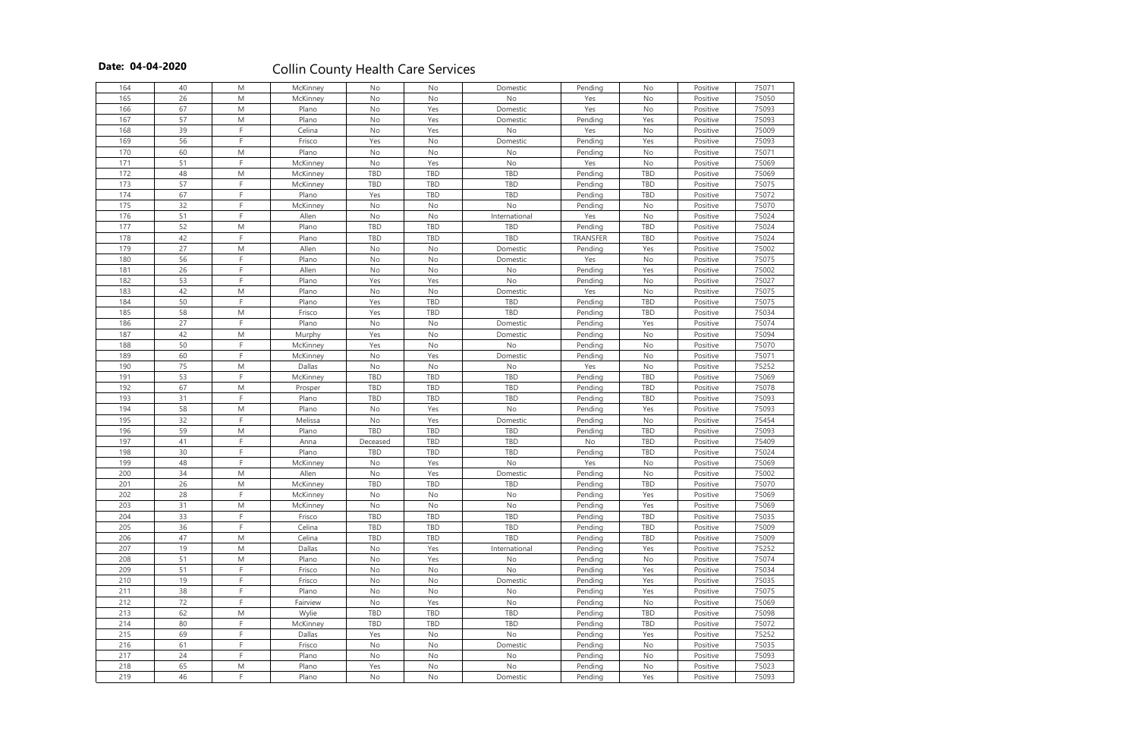| 164 | 40 | M              | McKinney | No            | No         | Domestic      | Pending  | No         | Positive | 75071 |
|-----|----|----------------|----------|---------------|------------|---------------|----------|------------|----------|-------|
| 165 | 26 | M              | McKinney | No            | No         | $\mathsf{No}$ | Yes      | No         | Positive | 75050 |
| 166 | 67 | ${\sf M}$      | Plano    | No            | Yes        | Domestic      | Yes      | No         | Positive | 75093 |
| 167 | 57 | ${\sf M}$      | Plano    | No            | Yes        | Domestic      | Pending  | Yes        | Positive | 75093 |
| 168 | 39 | E              | Celina   | No            | Yes        | No            | Yes      | No         | Positive | 75009 |
| 169 | 56 | F              | Frisco   | Yes           | <b>No</b>  | Domestic      | Pending  | Yes        | Positive | 75093 |
| 170 | 60 | M              | Plano    | No            | No         | No            | Pending  | No         | Positive | 75071 |
| 171 | 51 | E              | McKinney | No            | Yes        | No            | Yes      | No         | Positive | 75069 |
| 172 | 48 | M              | McKinney | <b>TBD</b>    | TBD        | TBD           | Pending  | TBD        | Positive | 75069 |
| 173 | 57 | F              | McKinney | <b>TBD</b>    | TBD        | TBD           | Pending  | TBD        | Positive | 75075 |
| 174 | 67 | F              | Plano    | Yes           | TBD        | TBD           | Pending  | TBD        | Positive | 75072 |
| 175 | 32 | E              | McKinney | No            | No         | No            | Pending  | No         | Positive | 75070 |
| 176 | 51 | E              | Allen    | No            | No         | International | Yes      | No         | Positive | 75024 |
| 177 | 52 | ${\sf M}$      | Plano    | <b>TBD</b>    | TBD        | <b>TBD</b>    |          | TBD        |          | 75024 |
| 178 | 42 | F              |          |               | TBD        | TBD           | Pending  | TBD        | Positive |       |
|     | 27 |                | Plano    | TBD           |            |               | TRANSFER |            | Positive | 75024 |
| 179 |    | ${\sf M}$<br>E | Allen    | No            | No         | Domestic      | Pending  | Yes        | Positive | 75002 |
| 180 | 56 |                | Plano    | No            | No         | Domestic      | Yes      | No         | Positive | 75075 |
| 181 | 26 | E              | Allen    | No            | No         | No            | Pending  | Yes        | Positive | 75002 |
| 182 | 53 | F              | Plano    | Yes           | Yes        | No            | Pending  | No         | Positive | 75027 |
| 183 | 42 | M              | Plano    | No            | No         | Domestic      | Yes      | No         | Positive | 75075 |
| 184 | 50 | F              | Plano    | Yes           | TBD        | TBD           | Pending  | TBD        | Positive | 75075 |
| 185 | 58 | M              | Frisco   | Yes           | TBD        | TBD           | Pending  | TBD        | Positive | 75034 |
| 186 | 27 | F              | Plano    | No            | No         | Domestic      | Pending  | Yes        | Positive | 75074 |
| 187 | 42 | M              | Murphy   | Yes           | No         | Domestic      | Pending  | No         | Positive | 75094 |
| 188 | 50 | F              | McKinney | Yes           | No         | No            | Pending  | No         | Positive | 75070 |
| 189 | 60 | F              | McKinney | No            | Yes        | Domestic      | Pending  | No         | Positive | 75071 |
| 190 | 75 | M              | Dallas   | $\mathsf{No}$ | No         | No            | Yes      | No         | Positive | 75252 |
| 191 | 53 | F              | McKinney | TBD           | TBD        | TBD           | Pending  | TBD        | Positive | 75069 |
| 192 | 67 | M              | Prosper  | TBD           | TBD        | TBD           | Pending  | TBD        | Positive | 75078 |
| 193 | 31 | E              | Plano    | TBD           | TBD        | TBD           | Pending  | TBD        | Positive | 75093 |
| 194 | 58 | M              | Plano    | No            | Yes        | No            | Pending  | Yes        | Positive | 75093 |
| 195 | 32 | F              | Melissa  | No            | Yes        | Domestic      | Pending  | No         | Positive | 75454 |
| 196 | 59 | ${\sf M}$      | Plano    | TBD           | TBD        | TBD           | Pending  | TBD        | Positive | 75093 |
| 197 | 41 | F              | Anna     | Deceased      | TBD        | TBD           | No       | TBD        | Positive | 75409 |
| 198 | 30 | F              | Plano    | <b>TBD</b>    | TBD        | TBD           | Pending  | TBD        | Positive | 75024 |
| 199 | 48 | F              | McKinney | No            | Yes        | No            | Yes      | No         | Positive | 75069 |
| 200 | 34 | M              | Allen    | No            | Yes        | Domestic      | Pending  | No         | Positive | 75002 |
| 201 | 26 | M              | McKinney | TBD           | TBD        | TBD           | Pending  | <b>TBD</b> | Positive | 75070 |
| 202 | 28 | F              | McKinney | $\mathsf{No}$ | No         | No            | Pending  | Yes        | Positive | 75069 |
| 203 | 31 | M              | McKinney | No            | No         | No            | Pending  | Yes        | Positive | 75069 |
| 204 | 33 | E              | Frisco   | TBD           | TBD        | TBD           | Pending  | TBD        | Positive | 75035 |
| 205 | 36 | F              | Celina   | TBD           | TBD        | TBD           | Pending  | TBD        | Positive | 75009 |
| 206 | 47 | ${\sf M}$      | Celina   | <b>TBD</b>    | TBD        | TBD           | Pending  | TBD        | Positive | 75009 |
| 207 | 19 | M              | Dallas   | No            | Yes        | International | Pending  | Yes        | Positive | 75252 |
| 208 | 51 | M              | Plano    | No            | Yes        | No            | Pending  | No         | Positive | 75074 |
| 209 | 51 | F              | Frisco   | No            | No         | No            | Pending  | Yes        | Positive | 75034 |
| 210 | 19 | F              | Frisco   | No            | No         | Domestic      | Pending  | Yes        | Positive | 75035 |
| 211 | 38 | F              | Plano    | No            | No         | No            | Pending  | Yes        | Positive | 75075 |
| 212 | 72 | F              | Fairview | No            | Yes        | No            | Pending  | No         | Positive | 75069 |
| 213 | 62 | M              | Wylie    | TBD           | <b>TBD</b> | <b>TBD</b>    | Pending  | TBD        | Positive | 75098 |
| 214 | 80 | F              | McKinney | <b>TBD</b>    | TBD        | TBD           | Pending  | <b>TBD</b> | Positive | 75072 |
| 215 | 69 | E              | Dallas   | Yes           | No         | No            | Pending  | Yes        | Positive | 75252 |
| 216 | 61 | F              | Frisco   | No            | No         | Domestic      | Pending  | No         | Positive | 75035 |
| 217 | 24 | E              | Plano    | No            | No         | No            |          | No         | Positive | 75093 |
|     |    |                |          |               |            |               | Pending  |            |          |       |
| 218 | 65 | M<br>F         | Plano    | Yes           | No         | No            | Pending  | No         | Positive | 75023 |
| 219 | 46 |                | Plano    | No            | No         | Domestic      | Pending  | Yes        | Positive | 75093 |